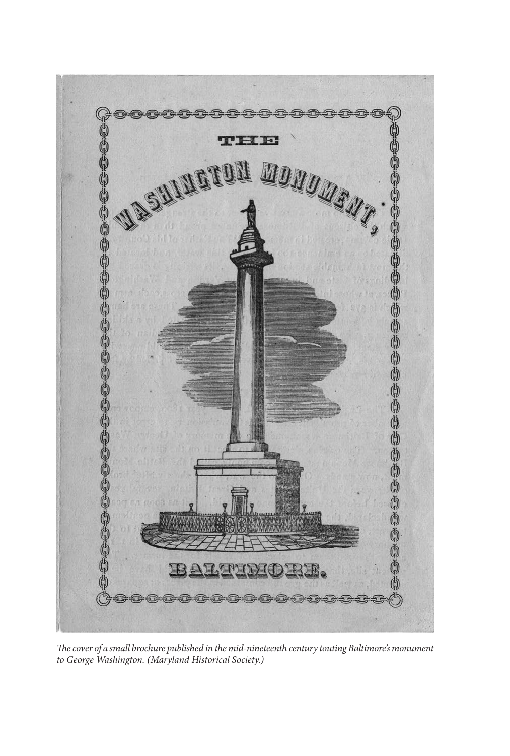

*The cover of a small brochure published in the mid-nineteenth century touting Baltimore's monument to George Washington. (Maryland Historical Society.)*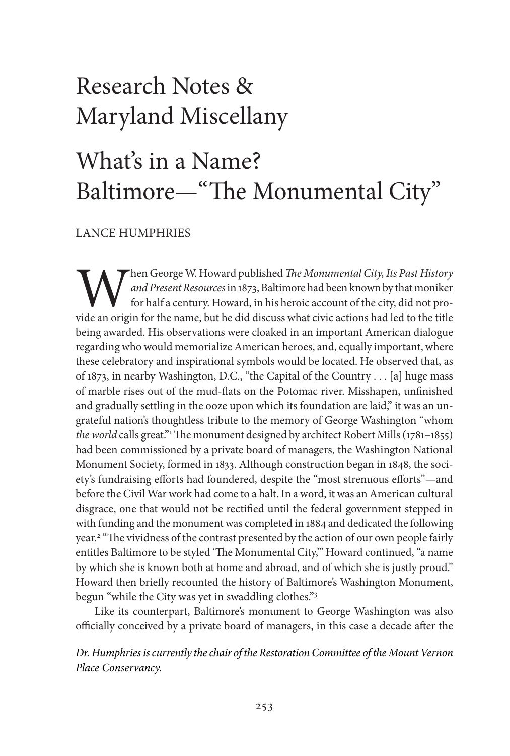## Research Notes & Maryland Miscellany

## What's in a Name? Baltimore—"The Monumental City"

LANCE HUMPHRIES

**W** hen George W. Howard published *The Monumental City, Its Past History*<br>*and Present Resources* in 1873, Baltimore had been known by that moniker<br>for half a century. Howard, in his heroic account of the city, did not pr and Present Resources in 1873, Baltimore had been known by that moniker for half a century. Howard, in his heroic account of the city, did not provide an origin for the name, but he did discuss what civic actions had led to the title being awarded. His observations were cloaked in an important American dialogue regarding who would memorialize American heroes, and, equally important, where these celebratory and inspirational symbols would be located. He observed that, as of 1873, in nearby Washington, D.C., "the Capital of the Country . . . [a] huge mass of marble rises out of the mud-flats on the Potomac river. Misshapen, unfinished and gradually settling in the ooze upon which its foundation are laid," it was an ungrateful nation's thoughtless tribute to the memory of George Washington "whom *the world* calls great."1The monument designed by architect Robert Mills(1781–1855) had been commissioned by a private board of managers, the Washington National Monument Society, formed in 1833. Although construction began in 1848, the society's fundraising efforts had foundered, despite the "most strenuous efforts"—and before the Civil War work had come to a halt. In a word, it was an American cultural disgrace, one that would not be rectified until the federal government stepped in with funding and the monument was completed in 1884 and dedicated the following year. <sup>2</sup> "The vividness of the contrast presented by the action of our own people fairly entitles Baltimore to be styled 'The Monumental City," Howard continued, "a name by which she is known both at home and abroad, and of which she is justly proud." Howard then briefly recounted the history of Baltimore's Washington Monument, begun "while the City was yet in swaddling clothes."3

Like its counterpart, Baltimore's monument to George Washington was also officially conceived by a private board of managers, in this case a decade after the

*Dr. Humphriesiscurrently the chair of the Restoration Committee of the MountVernon Place Conservancy.*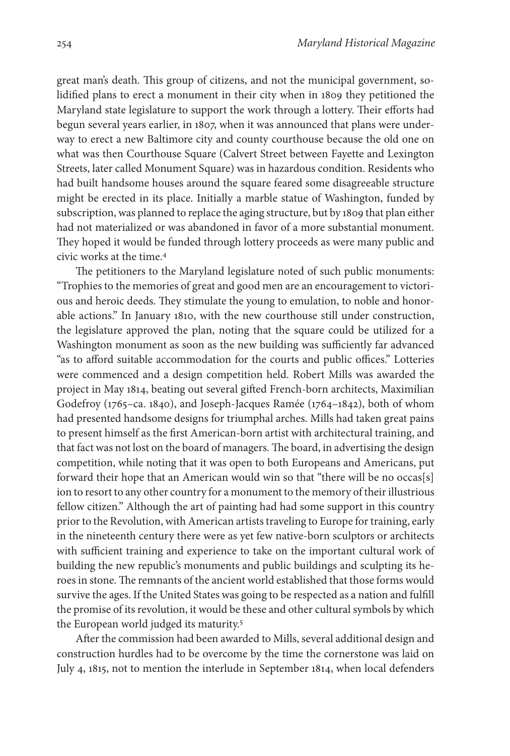great man's death. This group of citizens, and not the municipal government, solidified plans to erect a monument in their city when in 1809 they petitioned the Maryland state legislature to support the work through a lottery. Their efforts had begun several years earlier, in 1807, when it was announced that plans were underway to erect a new Baltimore city and county courthouse because the old one on what was then Courthouse Square (Calvert Street between Fayette and Lexington Streets, later called Monument Square) was in hazardous condition. Residents who had built handsome houses around the square feared some disagreeable structure might be erected in its place. Initially a marble statue of Washington, funded by subscription,was planned to replace the aging structure, but by 1809 that plan either had not materialized or was abandoned in favor of a more substantial monument. They hoped it would be funded through lottery proceeds as were many public and civic works at the time. 4

The petitioners to the Maryland legislature noted of such public monuments: "Trophies to the memories of great and good men are an encouragement to victorious and heroic deeds. They stimulate the young to emulation, to noble and honorable actions." In January 1810, with the new courthouse still under construction, the legislature approved the plan, noting that the square could be utilized for a Washington monument as soon as the new building was sufficiently far advanced "as to afford suitable accommodation for the courts and public offices." Lotteries were commenced and a design competition held. Robert Mills was awarded the project in May 1814, beating out several gifted French-born architects, Maximilian Godefroy (1765–ca. 1840), and Joseph-Jacques Ramée (1764–1842), both of whom had presented handsome designs for triumphal arches. Mills had taken great pains to present himself as the first American-born artist with architectural training, and that fact was not lost on the board of managers. The board, in advertising the design competition, while noting that it was open to both Europeans and Americans, put forward their hope that an American would win so that "there will be no occas[s] ion to resort to any other country for a monument to the memory of their illustrious fellow citizen." Although the art of painting had had some support in this country prior to the Revolution, with American artists traveling to Europe for training, early in the nineteenth century there were as yet few native-born sculptors or architects with sufficient training and experience to take on the important cultural work of building the new republic's monuments and public buildings and sculpting its heroes in stone. The remnants of the ancient world established that those forms would survive the ages. If the United States was going to be respected as a nation and fulfill the promise of its revolution, it would be these and other cultural symbols by which the European world judged its maturity.<sup>5</sup>

After the commission had been awarded to Mills, several additional design and construction hurdles had to be overcome by the time the cornerstone was laid on July 4, 1815, not to mention the interlude in September 1814, when local defenders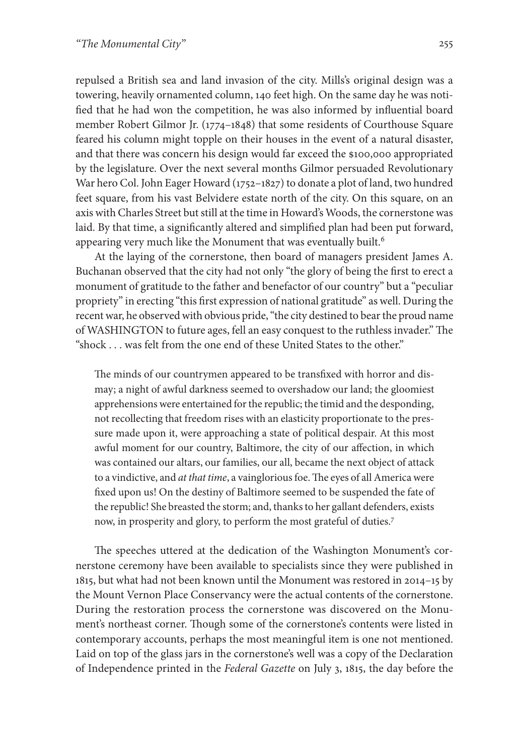repulsed a British sea and land invasion of the city. Mills's original design was a towering, heavily ornamented column, 140 feet high. On the same day he was notified that he had won the competition, he was also informed by influential board member Robert Gilmor Jr. (1774–1848) that some residents of Courthouse Square feared his column might topple on their houses in the event of a natural disaster, and that there was concern his design would far exceed the \$100,000 appropriated by the legislature. Over the next several months Gilmor persuaded Revolutionary War hero Col. John Eager Howard ( $1752-1827$ ) to donate a plot of land, two hundred feet square, from his vast Belvidere estate north of the city. On this square, on an axis with Charles Street butstill at the time in Howard's Woods, the cornerstone was laid. By that time, a significantly altered and simplified plan had been put forward, appearing very much like the Monument that was eventually built.<sup>6</sup>

At the laying of the cornerstone, then board of managers president James A. Buchanan observed that the city had not only "the glory of being the first to erect a monument of gratitude to the father and benefactor of our country" but a "peculiar propriety" in erecting "this first expression of national gratitude" as well. During the recent war, he observed with obvious pride, "the city destined to bear the proud name of WASHINGTON to future ages, fell an easy conquest to the ruthless invader." The "shock . . . was felt from the one end of these United States to the other."

The minds of our countrymen appeared to be transfixed with horror and dismay; a night of awful darkness seemed to overshadow our land; the gloomiest apprehensions were entertained for the republic; the timid and the desponding, not recollecting that freedom rises with an elasticity proportionate to the pressure made upon it, were approaching a state of political despair. At this most awful moment for our country, Baltimore, the city of our affection, in which was contained our altars, our families, our all, became the next object of attack to a vindictive, and *at that time*, a vainglorious foe. The eyes of all America were fixed upon us! On the destiny of Baltimore seemed to be suspended the fate of the republic! She breasted the storm; and, thanksto her gallant defenders, exists now, in prosperity and glory, to perform the most grateful of duties.7

The speeches uttered at the dedication of the Washington Monument's cornerstone ceremony have been available to specialists since they were published in 1815, but what had not been known until the Monument was restored in 2014–15 by the Mount Vernon Place Conservancy were the actual contents of the cornerstone. During the restoration process the cornerstone was discovered on the Monument's northeast corner. Though some of the cornerstone's contents were listed in contemporary accounts, perhaps the most meaningful item is one not mentioned. Laid on top of the glass jars in the cornerstone's well was a copy of the Declaration of Independence printed in the *Federal Gazette* on July 3, 1815, the day before the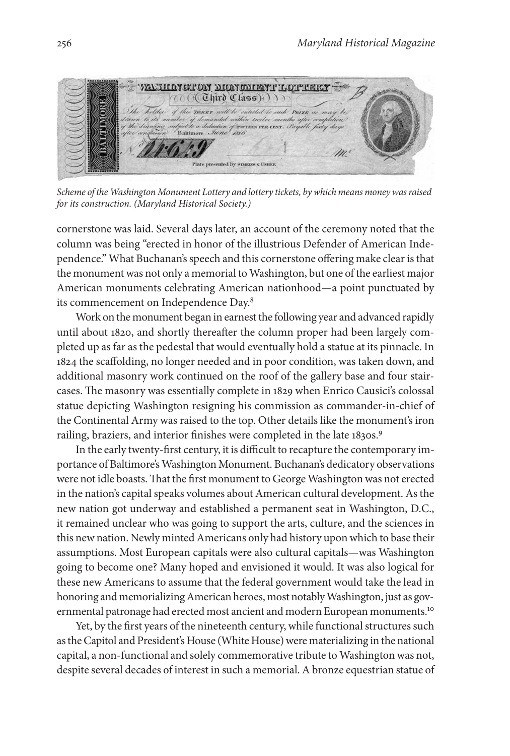

*Scheme of the Washington Monument Lottery and lottery tickets, bywhich means moneywasraised for its construction. (Maryland Historical Society.)*

cornerstone was laid. Several days later, an account of the ceremony noted that the column was being "erected in honor of the illustrious Defender of American Independence." What Buchanan's speech and this cornerstone offering make clear is that the monument was not only a memorial to Washington, but one of the earliest major American monuments celebrating American nationhood—a point punctuated by its commencement on Independence Day.8

Work on the monument began in earnest the following year and advanced rapidly until about 1820, and shortly thereafter the column proper had been largely completed up as far as the pedestal that would eventually hold a statue at its pinnacle. In 1824 the scaffolding, no longer needed and in poor condition, was taken down, and additional masonry work continued on the roof of the gallery base and four staircases. The masonry was essentially complete in 1829 when Enrico Causici's colossal statue depicting Washington resigning his commission as commander-in-chief of the Continental Army was raised to the top. Other details like the monument's iron railing, braziers, and interior finishes were completed in the late 1830s.<sup>9</sup>

In the early twenty-first century, it is difficult to recapture the contemporary importance of Baltimore's Washington Monument. Buchanan's dedicatory observations were not idle boasts. That the first monument to George Washington was not erected in the nation's capital speaks volumes about American cultural development. As the new nation got underway and established a permanent seat in Washington, D.C., it remained unclear who was going to support the arts, culture, and the sciences in this new nation. Newly minted Americans only had history upon which to base their assumptions. Most European capitals were also cultural capitals—was Washington going to become one? Many hoped and envisioned it would. It was also logical for these new Americans to assume that the federal government would take the lead in honoring and memorializingAmerican heroes, most notablyWashington, just as governmental patronage had erected most ancient and modern European monuments.<sup>10</sup>

Yet, by the first years of the nineteenth century, while functional structures such as the Capitol and President's House (White House) were materializing in the national capital, a non-functional and solely commemorative tribute to Washington was not, despite several decades of interest in such a memorial. A bronze equestrian statue of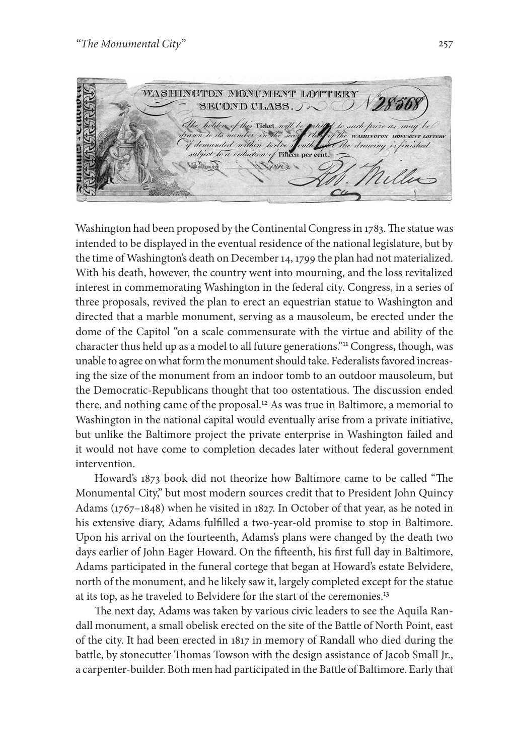WASHINGTON MONUMENT LOTTERY **Carnish SECOND CLASS.** holders of this Ticket. such prize as may d demanded within two responsibility<br>subject to a veduction of Fillion por cont.<br>Sitioned demanded within tacket uu

Washington had been proposed by the Continental Congress in 1783. The statue was intended to be displayed in the eventual residence of the national legislature, but by the time of Washington's death on December14, 1799 the plan had not materialized. With his death, however, the country went into mourning, and the loss revitalized interest in commemorating Washington in the federal city. Congress, in a series of three proposals, revived the plan to erect an equestrian statue to Washington and directed that a marble monument, serving as a mausoleum, be erected under the dome of the Capitol "on a scale commensurate with the virtue and ability of the character thus held up as a model to all future generations."11 Congress, though, was unable to agree on what form the monument should take. Federalists favored increasing the size of the monument from an indoor tomb to an outdoor mausoleum, but the Democratic-Republicans thought that too ostentatious. The discussion ended there, and nothing came of the proposal. <sup>12</sup> As was true in Baltimore, a memorial to Washington in the national capital would eventually arise from a private initiative, but unlike the Baltimore project the private enterprise in Washington failed and it would not have come to completion decades later without federal government intervention.

Howard's 1873 book did not theorize how Baltimore came to be called "The Monumental City," but most modern sources credit that to President John Quincy Adams (1767–1848) when he visited in 1827. In October of that year, as he noted in his extensive diary, Adams fulfilled a two-year-old promise to stop in Baltimore. Upon his arrival on the fourteenth, Adams's plans were changed by the death two days earlier of John Eager Howard. On the fifteenth, his first full day in Baltimore, Adams participated in the funeral cortege that began at Howard's estate Belvidere, north of the monument, and he likely saw it, largely completed except for the statue at its top, as he traveled to Belvidere for the start of the ceremonies.13

The next day, Adams was taken by various civic leaders to see the Aquila Randall monument, a small obelisk erected on the site of the Battle of North Point, east of the city. It had been erected in 1817 in memory of Randall who died during the battle, by stonecutter Thomas Towson with the design assistance of Jacob Small Jr., a carpenter-builder. Both men had participated in the Battle of Baltimore. Early that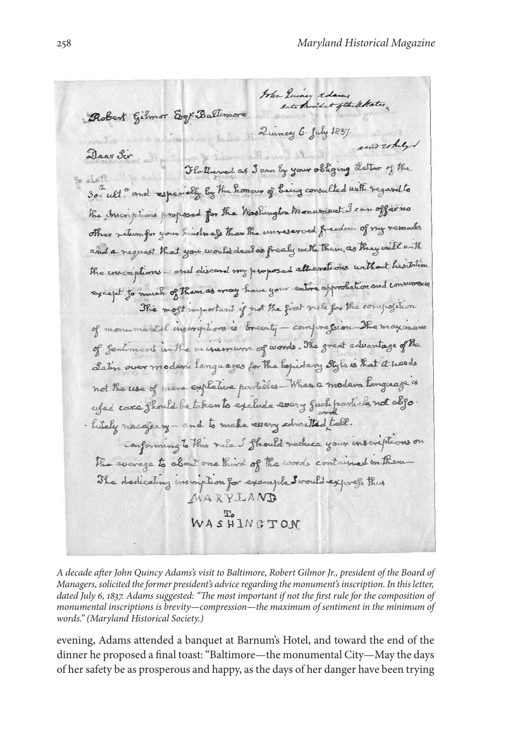John Quincy adams , letates . Robert Gilmor Egy Baltimore Quincy 6. July 1897 and rokely Dear Sir Flatterned as I am by your obliging Letter of the 30" ult. and especially by the honour of being consulted with regard to the Inscriptions proposed for the Washington Monument, I can offer no other return for your hindness than the unreserved freedom of my remarks and a request that you would deal as frealy with them, as they will with the inscriptions - and discard my proposed alt evations without heatrlin except for much of them as may have your entire approbation and consumere The most important of not the first rule for the composition of monumental inscriptions is brainty - compression The maximum of fentiment in the minimum of words. The great advantage of the Latin over modern languages for the Equidary Style is that it heads not the use of mere explative particles - When a modern language is ufed care Should be to hear to exclude every fuck particle not abso. . hitaly nacajsary - and to make every solveited talk. Conforming to this rule I Should reduce your inscriptions on The average to about one third of the words contained on them-The dedicating inscription for example Swould express this MARYLAND WASHINGTON

*A decade after John Quincy Adams's visit to Baltimore, Robert Gilmor Jr., president of the Board of Managers, solicited the former president's advice regarding the monument's inscription. In this letter, dated July 6, 1837. Adams suggested: "The most important if not the first rule for the composition of monumental inscriptions is brevity—compression—the maximum of sentiment in the minimum of words." (Maryland Historical Society.)*

evening, Adams attended a banquet at Barnum's Hotel, and toward the end of the dinner he proposed a final toast:"Baltimore—the monumental City—May the days of her safety be as prosperous and happy, as the days of her danger have been trying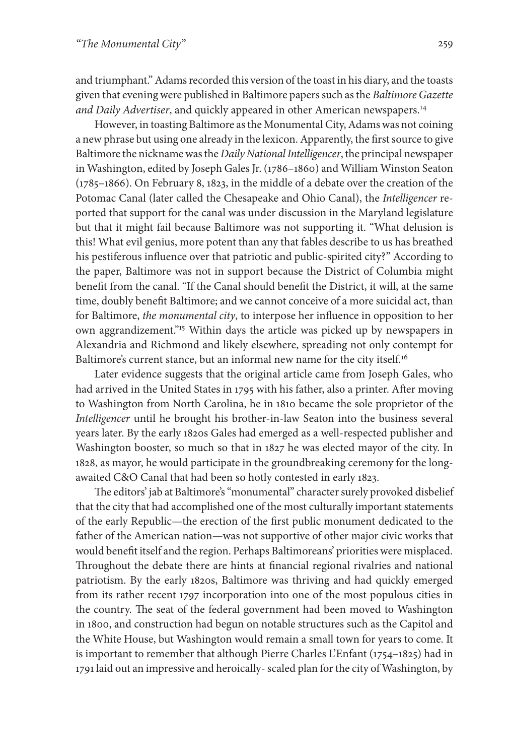and triumphant." Adams recorded this version of the toast in his diary, and the toasts given that evening were published in Baltimore papers such as the *Baltimore Gazette and Daily Advertiser*, and quickly appeared in other American newspapers. 14

However, in toasting Baltimore as the Monumental City, Adams was not coining a new phrase but using one already in the lexicon. Apparently, the first source to give Baltimore the nicknamewasthe *Daily NationalIntelligencer*, the principal newspaper in Washington, edited by Joseph Gales Jr. (1786–1860) and William Winston Seaton (1785–1866). On February 8, 1823, in the middle of a debate over the creation of the Potomac Canal (later called the Chesapeake and Ohio Canal), the *Intelligencer* reported that support for the canal was under discussion in the Maryland legislature but that it might fail because Baltimore was not supporting it. "What delusion is this! What evil genius, more potent than any that fables describe to us has breathed his pestiferous influence over that patriotic and public-spirited city?" According to the paper, Baltimore was not in support because the District of Columbia might benefit from the canal. "If the Canal should benefit the District, it will, at the same time, doubly benefit Baltimore; and we cannot conceive of a more suicidal act, than for Baltimore, *the monumental city*, to interpose her influence in opposition to her own aggrandizement."15 Within days the article was picked up by newspapers in Alexandria and Richmond and likely elsewhere, spreading not only contempt for Baltimore's current stance, but an informal new name for the city itself.<sup>16</sup>

Later evidence suggests that the original article came from Joseph Gales, who had arrived in the United States in 1795 with his father, also a printer. After moving to Washington from North Carolina, he in 1810 became the sole proprietor of the *Intelligencer* until he brought his brother-in-law Seaton into the business several years later. By the early 1820s Gales had emerged as a well-respected publisher and Washington booster, so much so that in 1827 he was elected mayor of the city. In 1828, as mayor, he would participate in the groundbreaking ceremony for the longawaited C&O Canal that had been so hotly contested in early 1823.

The editors' jab at Baltimore's "monumental" character surely provoked disbelief that the city that had accomplished one of the most culturally important statements of the early Republic—the erection of the first public monument dedicated to the father of the American nation—was not supportive of other major civic works that would benefit itself and the region. Perhaps Baltimoreans' priorities were misplaced. Throughout the debate there are hints at financial regional rivalries and national patriotism. By the early 1820s, Baltimore was thriving and had quickly emerged from its rather recent 1797 incorporation into one of the most populous cities in the country. The seat of the federal government had been moved to Washington in 1800, and construction had begun on notable structures such as the Capitol and the White House, but Washington would remain a small town for years to come. It is important to remember that although Pierre Charles L'Enfant (1754–1825) had in 1791 laid out an impressive and heroically-scaled plan forthe city of Washington, by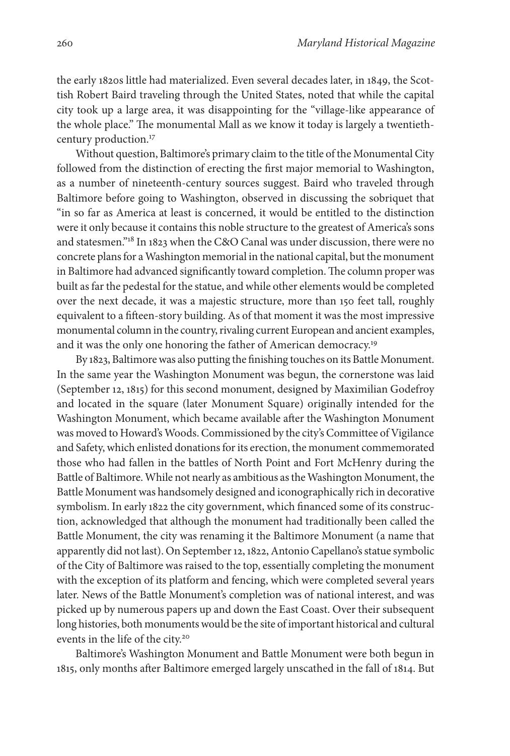the early 1820s little had materialized. Even several decades later, in 1849, the Scottish Robert Baird traveling through the United States, noted that while the capital city took up a large area, it was disappointing for the "village-like appearance of the whole place." The monumental Mall as we know it today is largely a twentiethcentury production. 17

Without question, Baltimore's primary claim to the title of the Monumental City followed from the distinction of erecting the first major memorial to Washington, as a number of nineteenth-century sources suggest. Baird who traveled through Baltimore before going to Washington, observed in discussing the sobriquet that "in so far as America at least is concerned, it would be entitled to the distinction were it only because it contains this noble structure to the greatest of America's sons and statesmen."18 In 1823 when the C&O Canal was under discussion, there were no concrete plansfor aWashington memorial in the national capital, but the monument in Baltimore had advanced significantly toward completion.The column proper was built as far the pedestal for the statue, and while other elements would be completed over the next decade, it was a majestic structure, more than 150 feet tall, roughly equivalent to a fifteen-story building. As of that moment it was the most impressive monumental column in the country, rivaling current European and ancient examples, and it was the only one honoring the father of American democracy.<sup>19</sup>

By 1823, Baltimore was also putting the finishing touches on its Battle Monument. In the same year the Washington Monument was begun, the cornerstone was laid (September 12, 1815) for this second monument, designed by Maximilian Godefroy and located in the square (later Monument Square) originally intended for the Washington Monument, which became available after the Washington Monument was moved to Howard's Woods. Commissioned by the city's Committee of Vigilance and Safety, which enlisted donations for its erection, the monument commemorated those who had fallen in the battles of North Point and Fort McHenry during the Battle of Baltimore.While not nearly as ambitious astheWashington Monument, the Battle Monument was handsomely designed and iconographically rich in decorative symbolism. In early 1822 the city government, which financed some of its construction, acknowledged that although the monument had traditionally been called the Battle Monument, the city was renaming it the Baltimore Monument (a name that apparently did not last). On September 12, 1822, Antonio Capellano's statue symbolic of the City of Baltimore was raised to the top, essentially completing the monument with the exception of its platform and fencing, which were completed several years later. News of the Battle Monument's completion was of national interest, and was picked up by numerous papers up and down the East Coast. Over their subsequent long histories, both monumentswould be the site of important historical and cultural events in the life of the city. 20

Baltimore's Washington Monument and Battle Monument were both begun in 1815, only months after Baltimore emerged largely unscathed in the fall of 1814. But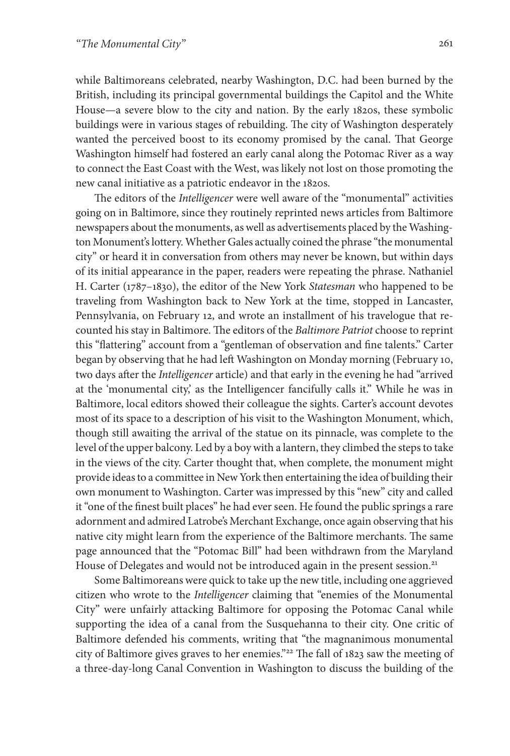while Baltimoreans celebrated, nearby Washington, D.C. had been burned by the British, including its principal governmental buildings the Capitol and the White House—a severe blow to the city and nation. By the early 1820s, these symbolic buildings were in various stages of rebuilding. The city of Washington desperately wanted the perceived boost to its economy promised by the canal. That George Washington himself had fostered an early canal along the Potomac River as a way to connect the East Coast with the West, was likely not lost on those promoting the new canal initiative as a patriotic endeavor in the 1820s.

The editors of the *Intelligencer* were well aware of the "monumental" activities going on in Baltimore, since they routinely reprinted news articles from Baltimore newspapers about the monuments, aswell as advertisements placed by the Washington Monument'slottery. Whether Gales actually coined the phrase "the monumental city" or heard it in conversation from others may never be known, but within days of its initial appearance in the paper, readers were repeating the phrase. Nathaniel H. Carter (1787–1830), the editor of the New York *Statesman* who happened to be traveling from Washington back to New York at the time, stopped in Lancaster, Pennsylvania, on February 12, and wrote an installment of his travelogue that recounted his stay in Baltimore. The editors of the *Baltimore Patriot* choose to reprint this "flattering" account from a "gentleman of observation and fine talents." Carter began by observing that he had left Washington on Monday morning (February 10, two days after the *Intelligencer* article) and that early in the evening he had "arrived at the 'monumental city,' as the Intelligencer fancifully calls it." While he was in Baltimore, local editors showed their colleague the sights. Carter's account devotes most of its space to a description of his visit to the Washington Monument, which, though still awaiting the arrival of the statue on its pinnacle, was complete to the level of the upper balcony. Led by a boywith a lantern, they climbed the stepsto take in the views of the city. Carter thought that, when complete, the monument might provide ideasto a committee in NewYork then entertaining the idea of building their own monument to Washington. Carter was impressed by this "new" city and called it"one of the finest built places" he had ever seen. He found the public springs a rare adornment and admired Latrobe's Merchant Exchange, once again observing that his native city might learn from the experience of the Baltimore merchants. The same page announced that the "Potomac Bill" had been withdrawn from the Maryland House of Delegates and would not be introduced again in the present session.<sup>21</sup>

Some Baltimoreans were quick to take up the new title, including one aggrieved citizen who wrote to the *Intelligencer* claiming that "enemies of the Monumental City" were unfairly attacking Baltimore for opposing the Potomac Canal while supporting the idea of a canal from the Susquehanna to their city. One critic of Baltimore defended his comments, writing that "the magnanimous monumental city of Baltimore gives graves to her enemies."22 The fall of 1823 saw the meeting of a three-day-long Canal Convention in Washington to discuss the building of the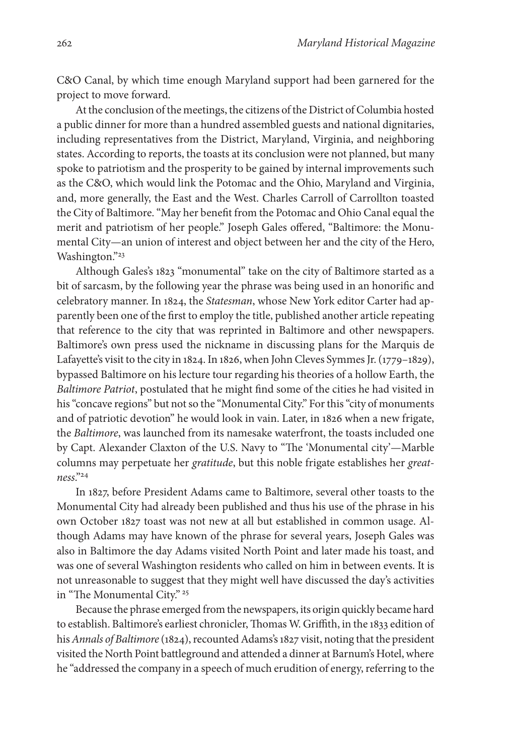C&O Canal, by which time enough Maryland support had been garnered for the project to move forward.

At the conclusion of the meetings, the citizens of the District of Columbia hosted a public dinner for more than a hundred assembled guests and national dignitaries, including representatives from the District, Maryland, Virginia, and neighboring states. According to reports, the toasts at its conclusion were not planned, but many spoke to patriotism and the prosperity to be gained by internal improvements such as the C&O, which would link the Potomac and the Ohio, Maryland and Virginia, and, more generally, the East and the West. Charles Carroll of Carrollton toasted the City of Baltimore."May her benefit from the Potomac and Ohio Canal equal the merit and patriotism of her people." Joseph Gales offered, "Baltimore: the Monumental City—an union of interest and object between her and the city of the Hero, Washington."23

Although Gales's 1823 "monumental" take on the city of Baltimore started as a bit of sarcasm, by the following year the phrase was being used in an honorific and celebratory manner. In 1824, the *Statesman*, whose New York editor Carter had apparently been one of the first to employ the title, published another article repeating that reference to the city that was reprinted in Baltimore and other newspapers. Baltimore's own press used the nickname in discussing plans for the Marquis de Lafayette's visit to the city in 1824. In 1826, when John Cleves Symmes Jr. (1779-1829), bypassed Baltimore on his lecture tour regarding his theories of a hollow Earth, the *Baltimore Patriot*, postulated that he might find some of the cities he had visited in his "concave regions" but not so the "Monumental City." For this "city of monuments and of patriotic devotion" he would look in vain. Later, in 1826 when a new frigate, the *Baltimore*, was launched from its namesake waterfront, the toasts included one by Capt. Alexander Claxton of the U.S. Navy to "The 'Monumental city'—Marble columns may perpetuate her *gratitude*, but this noble frigate establishes her *greatness*."24

In 1827, before President Adams came to Baltimore, several other toasts to the Monumental City had already been published and thus his use of the phrase in his own October 1827 toast was not new at all but established in common usage. Although Adams may have known of the phrase for several years, Joseph Gales was also in Baltimore the day Adams visited North Point and later made his toast, and was one of several Washington residents who called on him in between events. It is not unreasonable to suggest that they might well have discussed the day's activities in "The Monumental City." <sup>25</sup>

Because the phrase emerged from the newspapers, its origin quickly became hard to establish. Baltimore's earliest chronicler, Thomas W. Griffith, in the 1833 edition of his *Annals* of *Baltimore* (1824), recounted Adams's 1827 visit, noting that the president visited the North Point battleground and attended a dinner at Barnum's Hotel, where he "addressed the company in a speech of much erudition of energy, referring to the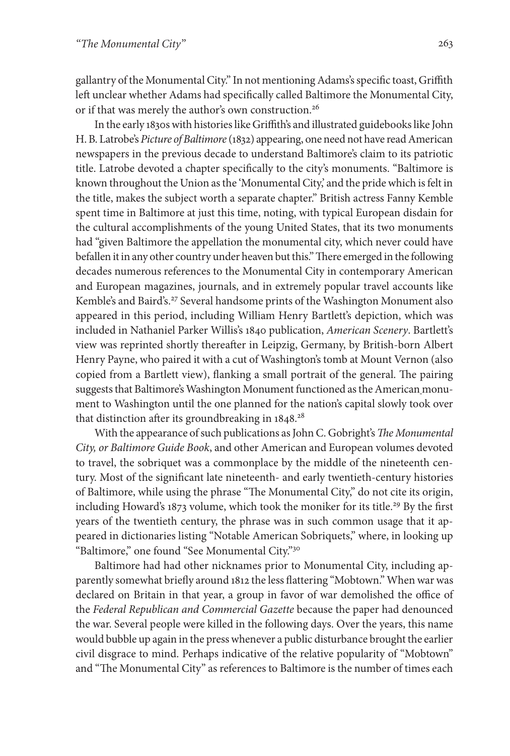gallantry of the Monumental City." In not mentioning Adams's specific toast, Griffith left unclear whether Adams had specifically called Baltimore the Monumental City, or if that was merely the author's own construction. 26

In the early 1830swith histories like Griffith's and illustrated guidebooks like John H. B. Latrobe's Picture of Baltimore (1832) appearing, one need not have read American newspapers in the previous decade to understand Baltimore's claim to its patriotic title. Latrobe devoted a chapter specifically to the city's monuments. "Baltimore is known throughout the Union as the 'Monumental City,' and the pride which is felt in the title, makes the subject worth a separate chapter." British actress Fanny Kemble spent time in Baltimore at just this time, noting, with typical European disdain for the cultural accomplishments of the young United States, that its two monuments had "given Baltimore the appellation the monumental city, which never could have befallen it in any other country under heaven but this." There emerged in the following decades numerous references to the Monumental City in contemporary American and European magazines, journals, and in extremely popular travel accounts like Kemble's and Baird's.<sup>27</sup> Several handsome prints of the Washington Monument also appeared in this period, including William Henry Bartlett's depiction, which was included in Nathaniel Parker Willis's 1840 publication, *American Scenery*. Bartlett's view was reprinted shortly thereafter in Leipzig, Germany, by British-born Albert Henry Payne, who paired it with a cut of Washington's tomb at Mount Vernon (also copied from a Bartlett view), flanking a small portrait of the general. The pairing suggests that Baltimore's Washington Monument functioned as the American monument to Washington until the one planned for the nation's capital slowly took over that distinction after its groundbreaking in 1848. 28

With the appearance ofsuch publications asJohn C. Gobright's*The Monumental City, or Baltimore Guide Book*, and other American and European volumes devoted to travel, the sobriquet was a commonplace by the middle of the nineteenth century. Most of the significant late nineteenth- and early twentieth-century histories of Baltimore, while using the phrase "The Monumental City," do not cite its origin, including Howard's 1873 volume, which took the moniker for its title.<sup>29</sup> By the first years of the twentieth century, the phrase was in such common usage that it appeared in dictionaries listing "Notable American Sobriquets," where, in looking up "Baltimore," one found "See Monumental City."30

Baltimore had had other nicknames prior to Monumental City, including apparently somewhat briefly around 1812 the less flattering "Mobtown." When war was declared on Britain in that year, a group in favor of war demolished the office of the *Federal Republican and Commercial Gazette* because the paper had denounced the war. Several people were killed in the following days. Over the years, this name would bubble up again in the presswhenever a public disturbance brought the earlier civil disgrace to mind. Perhaps indicative of the relative popularity of "Mobtown" and "The Monumental City" as references to Baltimore is the number of times each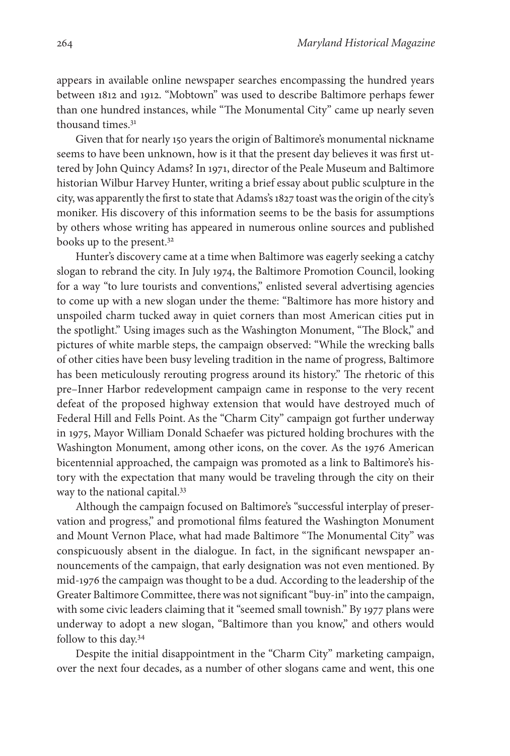appears in available online newspaper searches encompassing the hundred years between 1812 and 1912. "Mobtown" was used to describe Baltimore perhaps fewer than one hundred instances, while "The Monumental City" came up nearly seven thousand times.31

Given that for nearly 150 years the origin of Baltimore's monumental nickname seems to have been unknown, how is it that the present day believes it was first uttered by John Quincy Adams? In 1971, director of the Peale Museum and Baltimore historian Wilbur Harvey Hunter, writing a brief essay about public sculpture in the city, was apparently the first to state that Adams's 1827 toast was the origin of the city's moniker. His discovery of this information seems to be the basis for assumptions by others whose writing has appeared in numerous online sources and published books up to the present.32

Hunter's discovery came at a time when Baltimore was eagerly seeking a catchy slogan to rebrand the city. In July 1974, the Baltimore Promotion Council, looking for a way "to lure tourists and conventions," enlisted several advertising agencies to come up with a new slogan under the theme: "Baltimore has more history and unspoiled charm tucked away in quiet corners than most American cities put in the spotlight." Using images such as the Washington Monument, "The Block," and pictures of white marble steps, the campaign observed: "While the wrecking balls of other cities have been busy leveling tradition in the name of progress, Baltimore has been meticulously rerouting progress around its history." The rhetoric of this pre–Inner Harbor redevelopment campaign came in response to the very recent defeat of the proposed highway extension that would have destroyed much of Federal Hill and Fells Point. As the "Charm City" campaign got further underway in 1975, Mayor William Donald Schaefer was pictured holding brochures with the Washington Monument, among other icons, on the cover. As the 1976 American bicentennial approached, the campaign was promoted as a link to Baltimore's history with the expectation that many would be traveling through the city on their way to the national capital.<sup>33</sup>

Although the campaign focused on Baltimore's "successful interplay of preservation and progress," and promotional films featured the Washington Monument and Mount Vernon Place, what had made Baltimore "The Monumental City" was conspicuously absent in the dialogue. In fact, in the significant newspaper announcements of the campaign, that early designation was not even mentioned. By mid-1976 the campaign was thought to be a dud. According to the leadership of the Greater Baltimore Committee, there was not significant "buy-in" into the campaign, with some civic leaders claiming that it "seemed small townish." By 1977 plans were underway to adopt a new slogan, "Baltimore than you know," and others would follow to this day.34

Despite the initial disappointment in the "Charm City" marketing campaign, over the next four decades, as a number of other slogans came and went, this one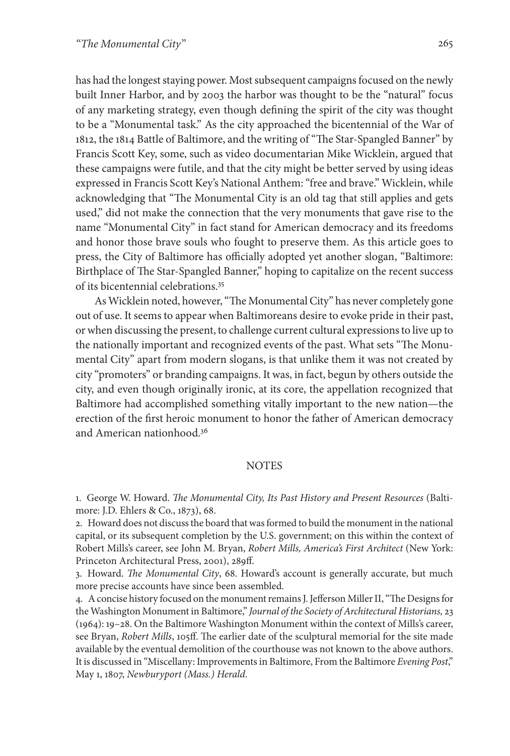has had the longest staying power. Most subsequent campaigns focused on the newly built Inner Harbor, and by 2003 the harbor was thought to be the "natural" focus of any marketing strategy, even though defining the spirit of the city was thought to be a "Monumental task." As the city approached the bicentennial of the War of 1812, the 1814 Battle of Baltimore, and the writing of"The Star-Spangled Banner" by Francis Scott Key, some, such as video documentarian Mike Wicklein, argued that these campaigns were futile, and that the city might be better served by using ideas expressed in Francis Scott Key's National Anthem:"free and brave." Wicklein, while acknowledging that "The Monumental City is an old tag that still applies and gets used," did not make the connection that the very monuments that gave rise to the name "Monumental City" in fact stand for American democracy and its freedoms and honor those brave souls who fought to preserve them. As this article goes to press, the City of Baltimore has officially adopted yet another slogan, "Baltimore: Birthplace of The Star-Spangled Banner," hoping to capitalize on the recent success of its bicentennial celebrations. 35

As Wicklein noted, however, "The Monumental City" has never completely gone out of use. It seems to appear when Baltimoreans desire to evoke pride in their past, orwhen discussing the present, to challenge current cultural expressionsto live up to the nationally important and recognized events of the past. What sets "The Monumental City" apart from modern slogans, is that unlike them it was not created by city "promoters" or branding campaigns. It was, in fact, begun by others outside the city, and even though originally ironic, at its core, the appellation recognized that Baltimore had accomplished something vitally important to the new nation—the erection of the first heroic monument to honor the father of American democracy and American nationhood. 36

#### **NOTES**

1. George W. Howard. *The Monumental City, Its Past History and Present Resources* (Baltimore: J.D. Ehlers & Co., 1873), 68.

2. Howard does not discussthe board thatwasformed to build the monument in the national capital, or its subsequent completion by the U.S. government; on this within the context of Robert Mills's career, see John M. Bryan, *Robert Mills, America's First Architect* (New York: Princeton Architectural Press, 2001), 289ff.

3. Howard. *The Monumental City*, 68. Howard's account is generally accurate, but much more precise accounts have since been assembled.

4. A concise history focused on the monument remains J. Jefferson Miller II, "The Designs for the Washington Monument in Baltimore," *Journal of the Society of Architectural Historians,* 23 (1964): 19–28. On the Baltimore Washington Monument within the context of Mills's career, see Bryan, *Robert Mills*, 105ff. The earlier date of the sculptural memorial for the site made available by the eventual demolition of the courthouse was not known to the above authors. It is discussed in "Miscellany:Improvementsin Baltimore, From the Baltimore *Evening Post*," May 1, 1807, *Newburyport (Mass.) Herald*.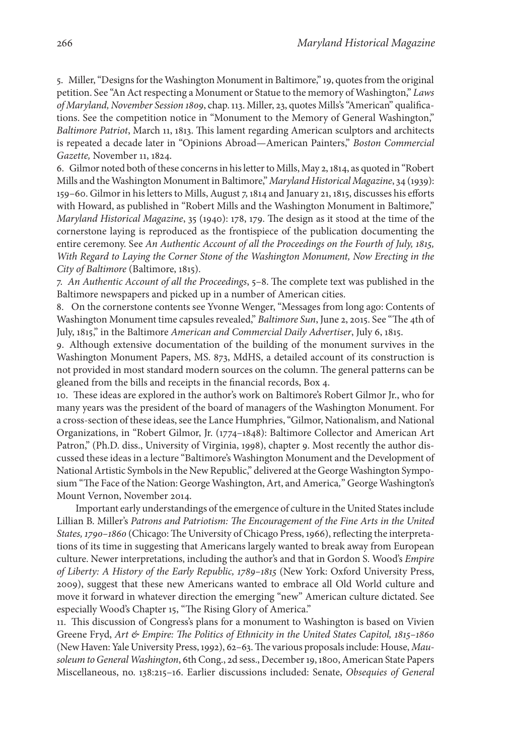5. Miller, "Designs for the Washington Monument in Baltimore," 19, quotes from the original petition. See "An Actrespecting a Monument or Statue to the memory of Washington," *Laws of Maryland, November Session 1809*, chap.113. Miller, 23, quotes Mills's"American" qualifications. See the competition notice in "Monument to the Memory of General Washington," *Baltimore Patriot*, March 11, 1813. This lament regarding American sculptors and architects is repeated a decade later in "Opinions Abroad—American Painters," *Boston Commercial Gazette,* November 11, 1824.

6. Gilmor noted both of these concernsin hisletterto Mills, May 2, 1814, as quoted in "Robert Mills and theWashington Monument in Baltimore," *Maryland Historical Magazine*, 34 (1939): 159–60. Gilmorin his letters to Mills, August 7, 1814 and January 21, 1815, discusses his efforts with Howard, as published in "Robert Mills and the Washington Monument in Baltimore," *Maryland Historical Magazine*, 35 (1940): 178, 179. The design as it stood at the time of the cornerstone laying is reproduced as the frontispiece of the publication documenting the entire ceremony. See *An Authentic Account of all the Proceedings on the Fourth of July, 1815, With Regard to Laying the Corner Stone of the Washington Monument, Now Erecting in the City of Baltimore* (Baltimore, 1815).

7. *An Authentic Account of all the Proceedings*, 5–8. The complete text was published in the Baltimore newspapers and picked up in a number of American cities.

8. On the cornerstone contents see Yvonne Wenger, "Messages from long ago: Contents of Washington Monument time capsules revealed," *Baltimore Sun*, June 2, 2015. See "The 4th of July, 1815," in the Baltimore *American and Commercial Daily Advertiser*, July 6, 1815.

9. Although extensive documentation of the building of the monument survives in the Washington Monument Papers, MS. 873, MdHS, a detailed account of its construction is not provided in most standard modern sources on the column. The general patterns can be gleaned from the bills and receipts in the financial records, Box 4.

10. These ideas are explored in the author's work on Baltimore's Robert Gilmor Jr., who for many years was the president of the board of managers of the Washington Monument. For a cross-section of these ideas, see the Lance Humphries, "Gilmor, Nationalism, and National Organizations, in "Robert Gilmor, Jr. (1774–1848): Baltimore Collector and American Art Patron," (Ph.D. diss., University of Virginia, 1998), chapter 9. Most recently the author discussed these ideas in a lecture "Baltimore's Washington Monument and the Development of National Artistic Symbols in the New Republic," delivered at the George Washington Symposium "The Face of the Nation: George Washington,Art, andAmerica*,*" George Washington's Mount Vernon, November 2014.

Important early understandings of the emergence of culture in the United States include Lillian B. Miller's *Patrons and Patriotism: The Encouragement of the Fine Arts in the United* States, 1790-1860 (Chicago: The University of Chicago Press, 1966), reflecting the interpretations of its time in suggesting that Americans largely wanted to break away from European culture. Newer interpretations, including the author's and that in Gordon S. Wood's *Empire of Liberty: A History of the Early Republic, 1789–1815* (New York: Oxford University Press, 2009), suggest that these new Americans wanted to embrace all Old World culture and move it forward in whatever direction the emerging "new" American culture dictated. See especially Wood's Chapter 15, "The Rising Glory of America."

11. This discussion of Congress's plans for a monument to Washington is based on Vivien Greene Fryd, *Art & Empire: The Politics of Ethnicity in the United States Capitol, 1815–1860* (New Haven: Yale University Press,1992), 62–63.The various proposalsinclude: House, *Mausoleum toGeneral Washington*, 6thCong., 2d sess., December19,1800,American State Papers Miscellaneous, no. 138:215–16. Earlier discussions included: Senate, *Obsequies of General*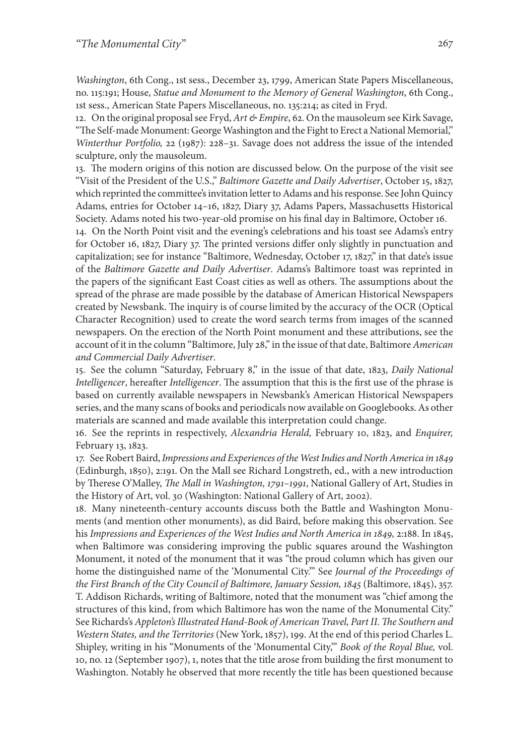*Washington*, 6th Cong., 1st sess., December 23, 1799, American State Papers Miscellaneous, no. 115:191; House, *Statue and Monument to the Memory of General Washington*, 6th Cong., 1st sess., American State Papers Miscellaneous, no. 135:214; as cited in Fryd.

12. On the original proposalsee Fryd, *Art & Empire*, 62. On the mausoleum see Kirk Savage, "The Self-made Monument: George Washington and the Fight to Erect a National Memorial," *Winterthur Portfolio,* 22 (1987): 228–31. Savage does not address the issue of the intended sculpture, only the mausoleum.

13. The modern origins of this notion are discussed below. On the purpose of the visit see "Visit of the President of the U.S.," *Baltimore Gazette and Daily Advertiser*, October 15, 1827, which reprinted the committee's invitation letter to Adams and his response. See John Quincy Adams, entries for October 14–16, 1827, Diary 37, Adams Papers, Massachusetts Historical Society. Adams noted his two-year-old promise on his final day in Baltimore, October 16.

14. On the North Point visit and the evening's celebrations and his toast see Adams's entry for October 16, 1827, Diary 37. The printed versions differ only slightly in punctuation and capitalization; see for instance "Baltimore, Wednesday, October 17, 1827," in that date's issue of the *Baltimore Gazette and Daily Advertiser*. Adams's Baltimore toast was reprinted in the papers of the significant East Coast cities as well as others. The assumptions about the spread of the phrase are made possible by the database of American Historical Newspapers created by Newsbank. The inquiry is of course limited by the accuracy of the OCR (Optical Character Recognition) used to create the word search terms from images of the scanned newspapers. On the erection of the North Point monument and these attributions, see the account of it in the column "Baltimore, July 28," in the issue of that date, Baltimore *American and Commercial Daily Advertiser*.

15. See the column "Saturday, February 8," in the issue of that date, 1823, *Daily National Intelligencer*, hereafter *Intelligencer*. The assumption that this is the first use of the phrase is based on currently available newspapers in Newsbank's American Historical Newspapers series, and the many scans of books and periodicals nowavailable on Googlebooks.As other materials are scanned and made available this interpretation could change.

16. See the reprints in respectively, *Alexandria Herald,* February 10, 1823, and *Enquirer,* February 13, 1823.

17. SeeRobert Baird,*Impressions and Experiences of theWestIndies and NorthAmerica in 1849* (Edinburgh, 1850), 2:191. On the Mall see Richard Longstreth, ed., with a new introduction by Therese O'Malley, *The Mall in Washington, 1791–1991*, National Gallery of Art, Studies in the History of Art, vol. 30 (Washington: National Gallery of Art, 2002).

18. Many nineteenth-century accounts discuss both the Battle and Washington Monuments (and mention other monuments), as did Baird, before making this observation. See his *Impressions and Experiences of the West Indies and North America in 1849,* 2:188. In 1845, when Baltimore was considering improving the public squares around the Washington Monument, it noted of the monument that it was "the proud column which has given our home the distinguished name of the 'Monumental City.'" See *Journal of the Proceedings of the First Branch of the City Council of Baltimore, January Session, 1845* (Baltimore, 1845), 357. T. Addison Richards, writing of Baltimore, noted that the monument was "chief among the structures of this kind, from which Baltimore has won the name of the Monumental City." See Richards's *Appleton's Illustrated Hand-Book of American Travel, Part II.The Southern and Western States, and the Territories* (New York, 1857), 199. At the end of this period Charles L. Shipley, writing in his "Monuments of the 'Monumental City,'" *Book of the Royal Blue,* vol. 10, no. 12 (September 1907), 1, notes that the title arose from building the first monument to Washington. Notably he observed that more recently the title has been questioned because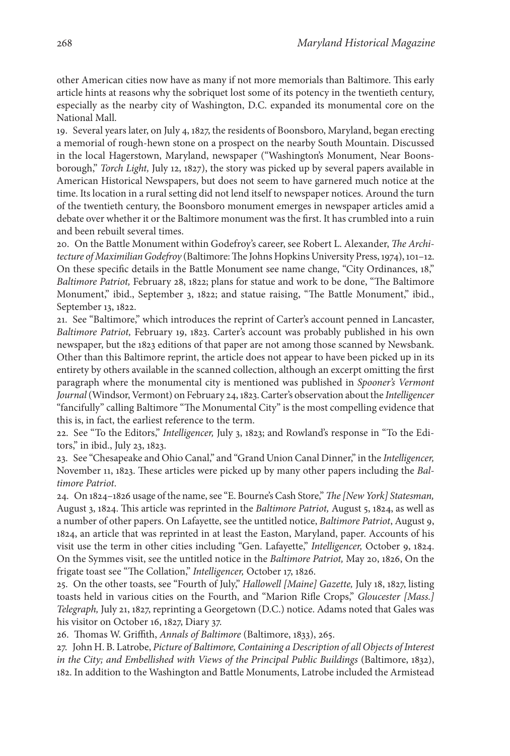other American cities now have as many if not more memorials than Baltimore. This early article hints at reasons why the sobriquet lost some of its potency in the twentieth century, especially as the nearby city of Washington, D.C. expanded its monumental core on the National Mall.

19. Several years later, on July 4, 1827, the residents of Boonsboro, Maryland, began erecting a memorial of rough-hewn stone on a prospect on the nearby South Mountain. Discussed in the local Hagerstown, Maryland, newspaper ("Washington's Monument, Near Boonsborough," *Torch Light,* July 12, 1827), the story was picked up by several papers available in American Historical Newspapers, but does not seem to have garnered much notice at the time. Its location in a rural setting did not lend itself to newspaper notices. Around the turn of the twentieth century, the Boonsboro monument emerges in newspaper articles amid a debate over whether it or the Baltimore monument was the first. It has crumbled into a ruin and been rebuilt several times.

20. On the Battle Monument within Godefroy's career, see Robert L. Alexander, *The Architecture of MaximilianGodefroy* (Baltimore:The Johns Hopkins University Press,1974), 101–12. On these specific details in the Battle Monument see name change, "City Ordinances, 18," *Baltimore Patriot,* February 28, 1822; plans for statue and work to be done, "The Baltimore Monument," ibid., September 3, 1822; and statue raising, "The Battle Monument," ibid., September 13, 1822.

21. See "Baltimore," which introduces the reprint of Carter's account penned in Lancaster, *Baltimore Patriot,* February 19, 1823. Carter's account was probably published in his own newspaper, but the 1823 editions of that paper are not among those scanned by Newsbank. Other than this Baltimore reprint, the article does not appear to have been picked up in its entirety by others available in the scanned collection, although an excerpt omitting the first paragraph where the monumental city is mentioned was published in *Spooner's Vermont Journal*(Windsor, Vermont) on February 24,1823.Carter's observation about the *Intelligencer* "fancifully" calling Baltimore "The Monumental City" is the most compelling evidence that this is, in fact, the earliest reference to the term.

22. See "To the Editors," *Intelligencer,* July 3, 1823; and Rowland's response in "To the Editors," in ibid., July 23, 1823.

23. See "Chesapeake and Ohio Canal," and "Grand Union Canal Dinner," in the *Intelligencer,* November 11, 1823. These articles were picked up by many other papers including the *Baltimore Patriot*.

24. On 1824–1826 usage of the name,see "E. Bourne'sCash Store," *The [NewYork] Statesman,* August 3, 1824. This article was reprinted in the *Baltimore Patriot,* August 5, 1824, as well as a number of other papers. On Lafayette, see the untitled notice, *Baltimore Patriot*, August 9, 1824, an article that was reprinted in at least the Easton, Maryland, paper. Accounts of his visit use the term in other cities including "Gen. Lafayette," *Intelligencer,* October 9, 1824. On the Symmes visit, see the untitled notice in the *Baltimore Patriot,* May 20, 1826, On the frigate toast see "The Collation," *Intelligencer,* October 17, 1826.

25. On the other toasts, see "Fourth of July," *Hallowell [Maine] Gazette,* July 18, 1827, listing toasts held in various cities on the Fourth, and "Marion Rifle Crops," *Gloucester [Mass.] Telegraph,* July 21, 1827, reprinting a Georgetown (D.C.) notice. Adams noted that Gales was his visitor on October 16, 1827, Diary 37.

26. Thomas W. Griffith, *Annals of Baltimore* (Baltimore, 1833), 265.

27. John H. B. Latrobe, *Picture of Baltimore, Containing a Description of all Objects of Interest in the City; and Embellished with Views of the Principal Public Buildings* (Baltimore, 1832), 182. In addition to the Washington and Battle Monuments, Latrobe included the Armistead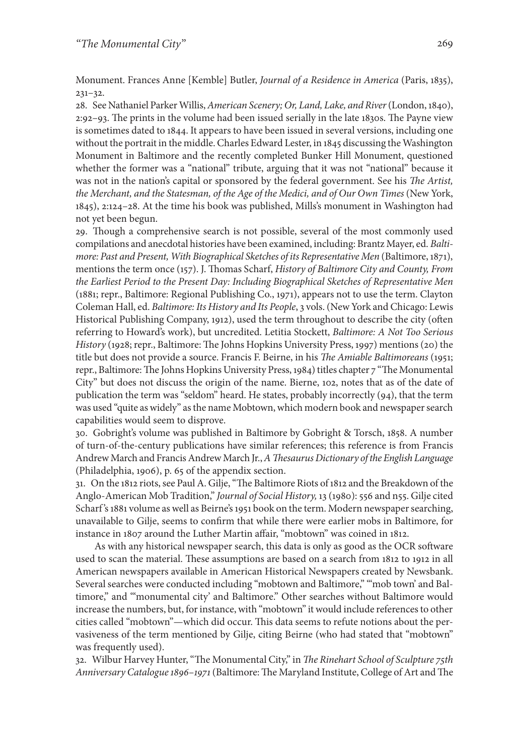Monument. Frances Anne [Kemble] Butler, *Journal of a Residence in America* (Paris, 1835), 231–32.

28. See Nathaniel ParkerWillis,*American Scenery; Or, Land, Lake, and River*(London, 1840), 2:92–93. The prints in the volume had been issued serially in the late 1830s. The Payne view is sometimes dated to 1844. It appears to have been issued in several versions, including one without the portrait in the middle.Charles Edward Lester, in 1845 discussing the Washington Monument in Baltimore and the recently completed Bunker Hill Monument, questioned whether the former was a "national" tribute, arguing that it was not "national" because it was not in the nation's capital or sponsored by the federal government. See his *The Artist, the Merchant, and the Statesman, of the Age of the Medici, and of Our Own Times* (New York, 1845), 2:124–28. At the time his book was published, Mills's monument in Washington had not yet been begun.

29. Though a comprehensive search is not possible, several of the most commonly used compilations and anecdotal histories have been examined, including: Brantz Mayer, ed. *Baltimore: Past and Present, With Biographical Sketches of its Representative Men* (Baltimore,1871), mentions the term once (157). J. Thomas Scharf, *History of Baltimore City and County, From the Earliest Period to the Present Day: Including Biographical Sketches of Representative Men* (1881; repr., Baltimore: Regional Publishing Co., 1971), appears not to use the term. Clayton Coleman Hall, ed. *Baltimore: Its History and Its People*, 3 vols. (NewYork and Chicago: Lewis Historical Publishing Company, 1912), used the term throughout to describe the city (often referring to Howard's work), but uncredited. Letitia Stockett, *Baltimore: A Not Too Serious History* (1928; repr., Baltimore: The Johns Hopkins University Press, 1997) mentions (20) the title but does not provide a source. Francis F. Beirne, in his *The Amiable Baltimoreans* (1951; repr., Baltimore:The Johns Hopkins University Press,1984) titles chapter 7 "The Monumental City" but does not discuss the origin of the name. Bierne, 102, notes that as of the date of publication the term was "seldom" heard. He states, probably incorrectly (94), that the term was used "quite as widely" as the name Mobtown, which modern book and newspaper search capabilities would seem to disprove.

30. Gobright's volume was published in Baltimore by Gobright & Torsch, 1858. A number of turn-of-the-century publications have similar references; this reference is from Francis Andrew March and FrancisAndrew March Jr.,*AThesaurus Dictionary ofthe English Language* (Philadelphia, 1906), p. 65 of the appendix section.

31. On the 1812 riots, see Paul A. Gilje, "The Baltimore Riots of 1812 and the Breakdown of the Anglo-American Mob Tradition," *Journal of Social History,* 13 (1980): 556 and n55. Gilje cited Scharf's 1881 volume as well as Beirne's 1951 book on the term. Modern newspaper searching, unavailable to Gilje, seems to confirm that while there were earlier mobs in Baltimore, for instance in 1807 around the Luther Martin affair, "mobtown" was coined in 1812.

As with any historical newspaper search, this data is only as good as the OCR software used to scan the material. These assumptions are based on a search from 1812 to 1912 in all American newspapers available in American Historical Newspapers created by Newsbank. Several searches were conducted including "mobtown and Baltimore," "'mob town' and Baltimore," and "'monumental city' and Baltimore." Other searches without Baltimore would increase the numbers, but, for instance, with "mobtown" it would include references to other cities called "mobtown"—which did occur. This data seems to refute notions about the pervasiveness of the term mentioned by Gilje, citing Beirne (who had stated that "mobtown" was frequently used).

32. Wilbur Harvey Hunter,"The Monumental City," in *The Rinehart School of Sculpture 75th Anniversary Catalogue 1896–1971*(Baltimore:The Maryland Institute, College ofArt andThe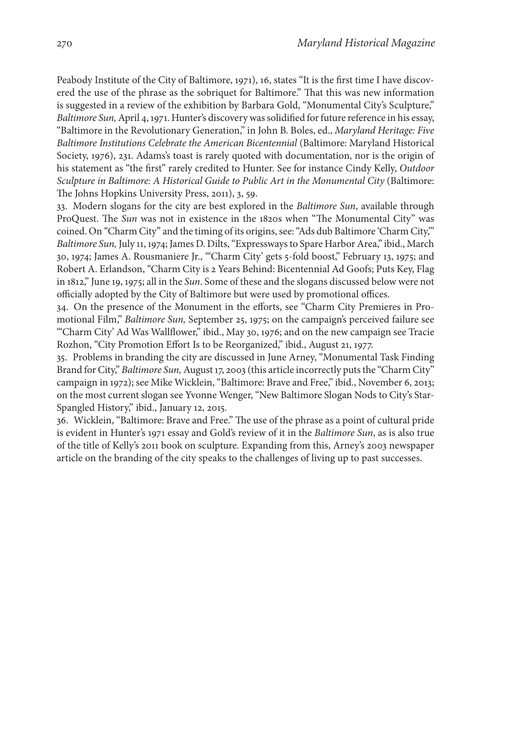Peabody Institute of the City of Baltimore, 1971), 16, states "It is the first time I have discovered the use of the phrase as the sobriquet for Baltimore." That this was new information is suggested in a review of the exhibition by Barbara Gold, "Monumental City's Sculpture," *Baltimore Sun*, April 4, 1971. Hunter's discovery was solidified for future reference in his essay, "Baltimore in the Revolutionary Generation," in John B. Boles, ed., *Maryland Heritage: Five Baltimore Institutions Celebrate the American Bicentennial* (Baltimore: Maryland Historical Society, 1976), 231. Adams's toast is rarely quoted with documentation, nor is the origin of his statement as "the first" rarely credited to Hunter. See for instance Cindy Kelly, *Outdoor Sculpture in Baltimore: A Historical Guide to Public Art in the Monumental City* (Baltimore: The Johns Hopkins University Press, 2011), 3, 59.

33. Modern slogans for the city are best explored in the *Baltimore Sun*, available through ProQuest. The *Sun* was not in existence in the 1820s when "The Monumental City" was coined. On "Charm City" and the timing of its origins,see:"Ads dub Baltimore 'Charm City,'" *Baltimore Sun, July 11, 1974; James D. Dilts, "Expressways to Spare Harbor Area," ibid., March* 30, 1974; James A. Rousmaniere Jr., "'Charm City' gets 5-fold boost," February 13, 1975; and Robert A. Erlandson, "Charm City is 2 Years Behind: Bicentennial Ad Goofs; Puts Key, Flag in 1812," June 19, 1975; all in the *Sun*. Some of these and the slogans discussed below were not officially adopted by the City of Baltimore but were used by promotional offices.

34. On the presence of the Monument in the efforts, see "Charm City Premieres in Promotional Film," *Baltimore Sun,* September 25, 1975; on the campaign's perceived failure see "'Charm City' Ad Was Wallflower," ibid., May 30, 1976; and on the new campaign see Tracie Rozhon, "City Promotion Effort Is to be Reorganized," ibid., August 21, 1977.

35. Problems in branding the city are discussed in June Arney, "Monumental Task Finding Brand for City," *Baltimore Sun*, August 17, 2003 (this article incorrectly puts the "Charm City" campaign in 1972); see Mike Wicklein,"Baltimore: Brave and Free," ibid., November 6, 2013; on the most current slogan see Yvonne Wenger, "New Baltimore Slogan Nods to City's Star-Spangled History," ibid., January 12, 2015*.*

36. Wicklein, "Baltimore: Brave and Free." The use of the phrase as a point of cultural pride is evident in Hunter's 1971 essay and Gold's review of it in the *Baltimore Sun*, as is also true of the title of Kelly's 2011 book on sculpture. Expanding from this, Arney's 2003 newspaper article on the branding of the city speaks to the challenges of living up to past successes.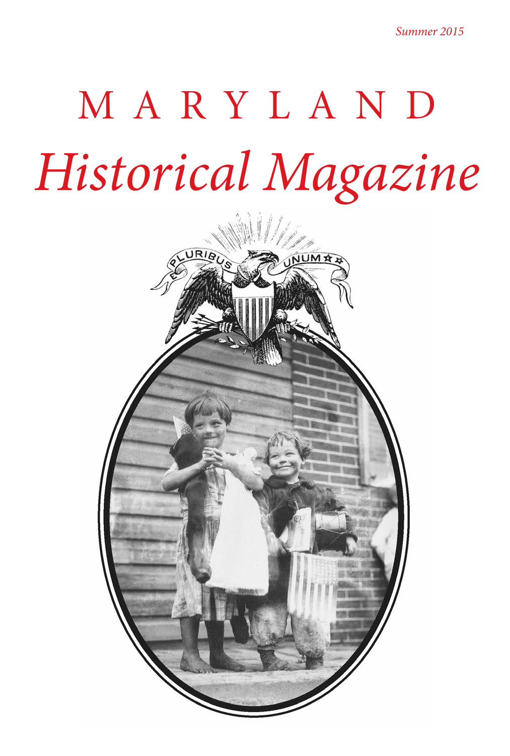*Summer 2015*

## M A R Y L A N D *Historical Magazine*